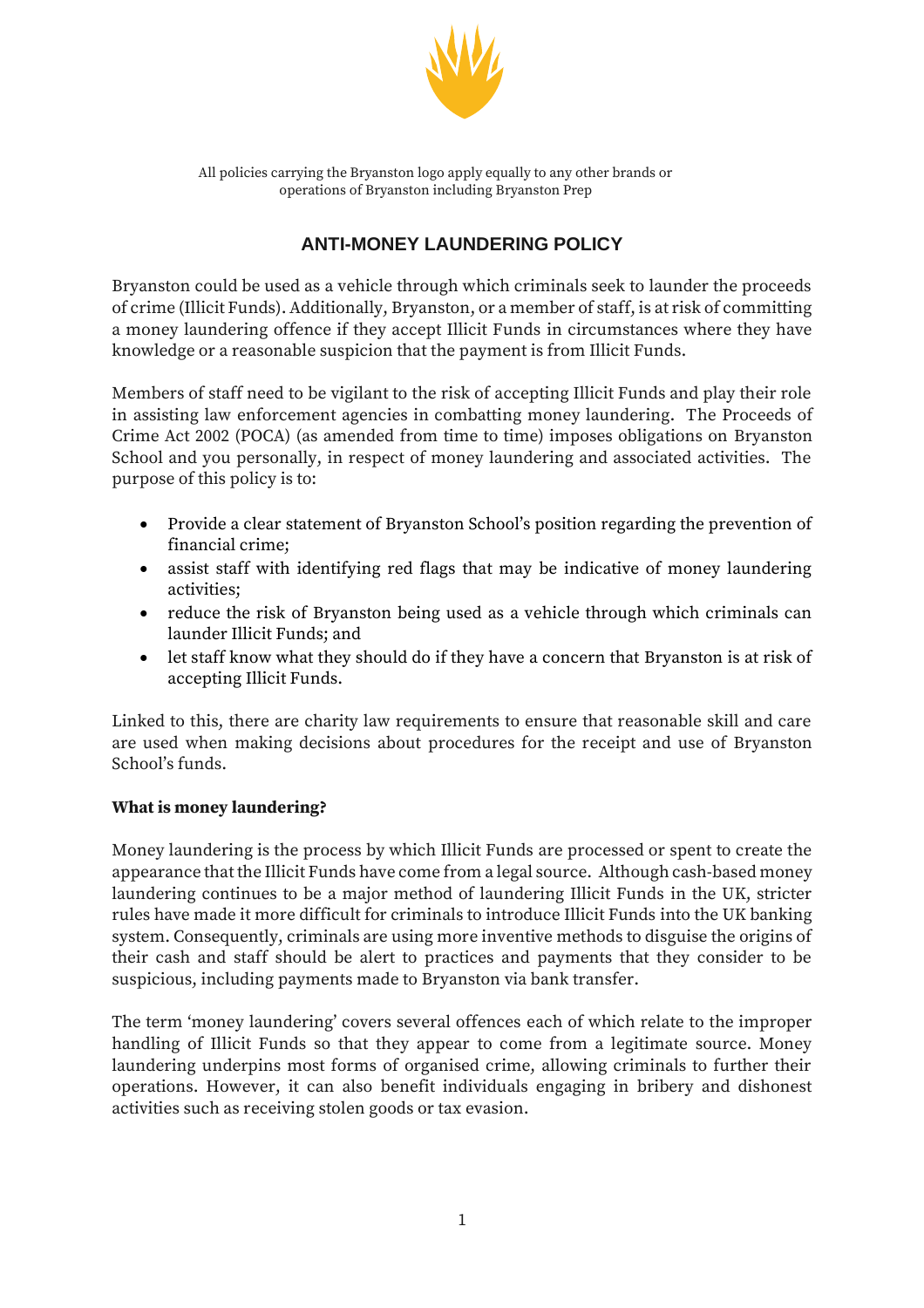

All policies carrying the Bryanston logo apply equally to any other brands or operations of Bryanston including Bryanston Prep

# **ANTI-MONEY LAUNDERING POLICY**

Bryanston could be used as a vehicle through which criminals seek to launder the proceeds of crime (Illicit Funds). Additionally, Bryanston, or a member of staff, is at risk of committing a money laundering offence if they accept Illicit Funds in circumstances where they have knowledge or a reasonable suspicion that the payment is from Illicit Funds.

Members of staff need to be vigilant to the risk of accepting Illicit Funds and play their role in assisting law enforcement agencies in combatting money laundering. The Proceeds of Crime Act 2002 (POCA) (as amended from time to time) imposes obligations on Bryanston School and you personally, in respect of money laundering and associated activities. The purpose of this policy is to:

- Provide a clear statement of Bryanston School's position regarding the prevention of financial crime;
- assist staff with identifying red flags that may be indicative of money laundering activities;
- reduce the risk of Bryanston being used as a vehicle through which criminals can launder Illicit Funds; and
- let staff know what they should do if they have a concern that Bryanston is at risk of accepting Illicit Funds.

Linked to this, there are charity law requirements to ensure that reasonable skill and care are used when making decisions about procedures for the receipt and use of Bryanston School's funds.

# **What is money laundering?**

Money laundering is the process by which Illicit Funds are processed or spent to create the appearance that the Illicit Funds have come from a legal source. Although cash-based money laundering continues to be a major method of laundering Illicit Funds in the UK, stricter rules have made it more difficult for criminals to introduce Illicit Funds into the UK banking system. Consequently, criminals are using more inventive methods to disguise the origins of their cash and staff should be alert to practices and payments that they consider to be suspicious, including payments made to Bryanston via bank transfer.

The term 'money laundering' covers several offences each of which relate to the improper handling of Illicit Funds so that they appear to come from a legitimate source. Money laundering underpins most forms of organised crime, allowing criminals to further their operations. However, it can also benefit individuals engaging in bribery and dishonest activities such as receiving stolen goods or tax evasion.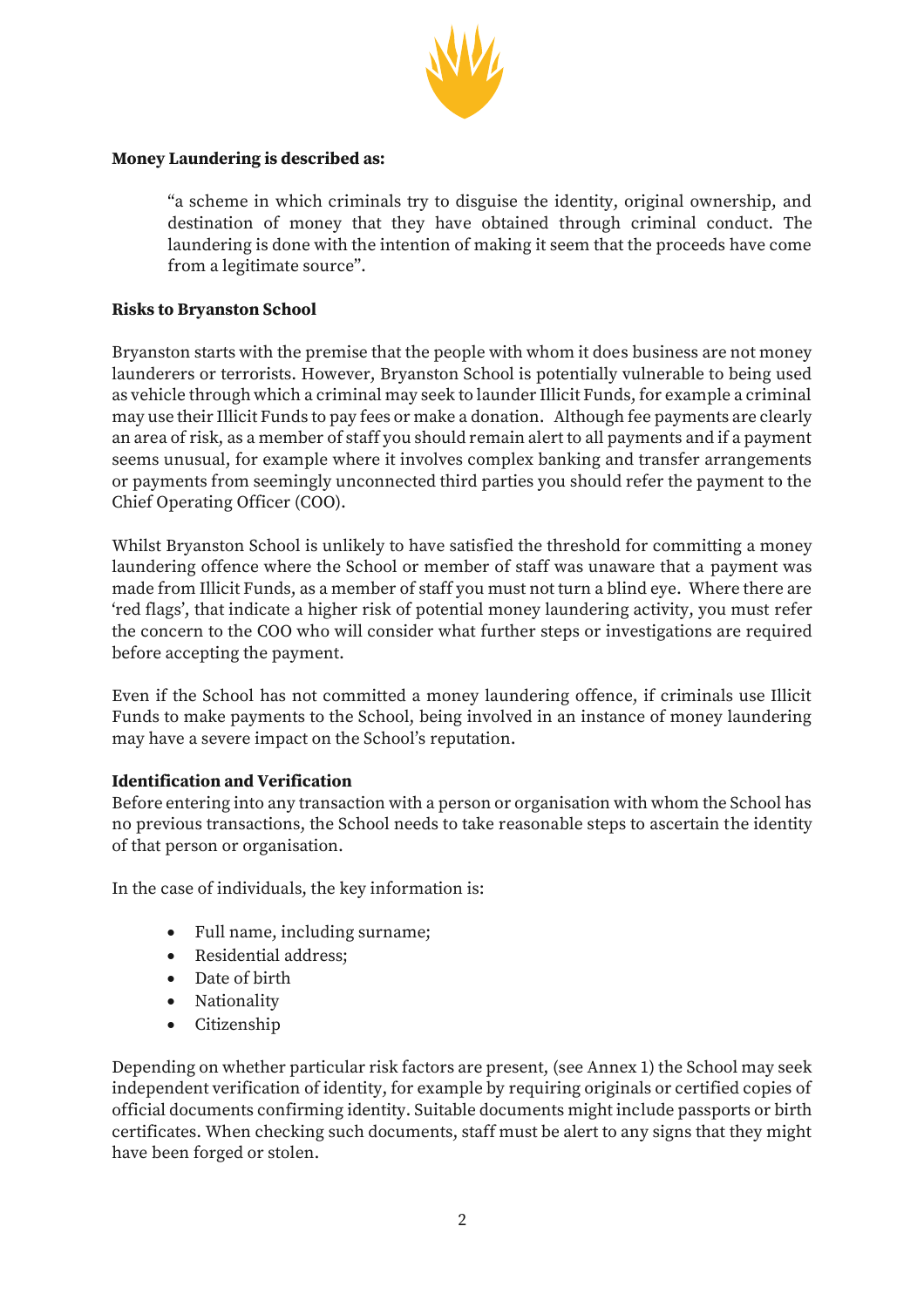

#### **Money Laundering is described as:**

"a scheme in which criminals try to disguise the identity, original ownership, and destination of money that they have obtained through criminal conduct. The laundering is done with the intention of making it seem that the proceeds have come from a legitimate source".

#### **Risks to Bryanston School**

Bryanston starts with the premise that the people with whom it does business are not money launderers or terrorists. However, Bryanston School is potentially vulnerable to being used as vehicle through which a criminal may seek to launder Illicit Funds, for example a criminal may use their Illicit Funds to pay fees or make a donation. Although fee payments are clearly an area of risk, as a member of staff you should remain alert to all payments and if a payment seems unusual, for example where it involves complex banking and transfer arrangements or payments from seemingly unconnected third parties you should refer the payment to the Chief Operating Officer (COO).

Whilst Bryanston School is unlikely to have satisfied the threshold for committing a money laundering offence where the School or member of staff was unaware that a payment was made from Illicit Funds, as a member of staff you must not turn a blind eye. Where there are 'red flags', that indicate a higher risk of potential money laundering activity, you must refer the concern to the COO who will consider what further steps or investigations are required before accepting the payment.

Even if the School has not committed a money laundering offence, if criminals use Illicit Funds to make payments to the School, being involved in an instance of money laundering may have a severe impact on the School's reputation.

#### **Identification and Verification**

Before entering into any transaction with a person or organisation with whom the School has no previous transactions, the School needs to take reasonable steps to ascertain the identity of that person or organisation.

In the case of individuals, the key information is:

- Full name, including surname;
- Residential address;
- Date of birth
- Nationality
- Citizenship

Depending on whether particular risk factors are present, (see Annex 1) the School may seek independent verification of identity, for example by requiring originals or certified copies of official documents confirming identity. Suitable documents might include passports or birth certificates. When checking such documents, staff must be alert to any signs that they might have been forged or stolen.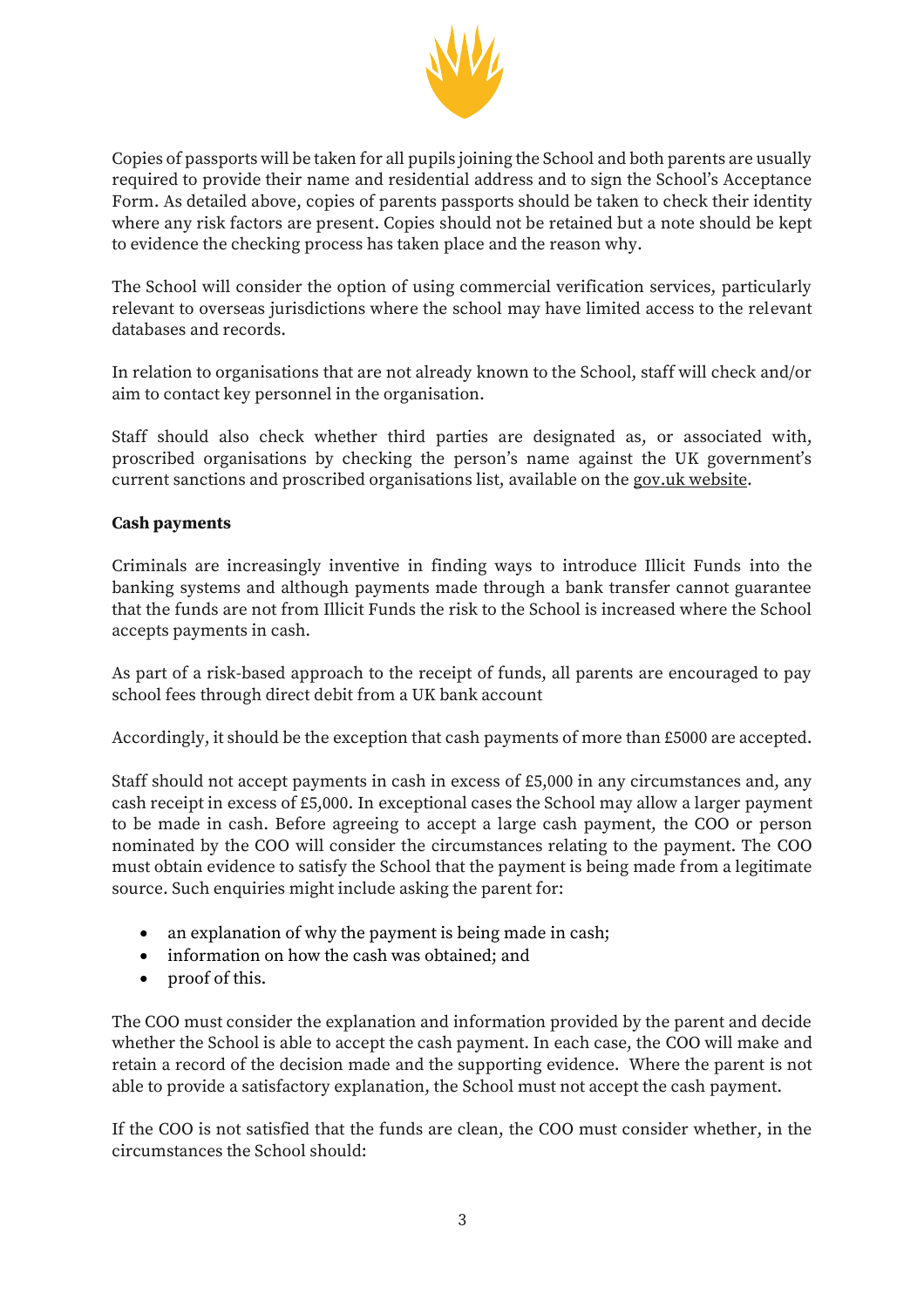

Copies of passports will be taken for all pupils joining the School and both parents are usually required to provide their name and residential address and to sign the School's Acceptance Form. As detailed above, copies of parents passports should be taken to check their identity where any risk factors are present. Copies should not be retained but a note should be kept to evidence the checking process has taken place and the reason why.

The School will consider the option of using commercial verification services, particularly relevant to overseas jurisdictions where the school may have limited access to the relevant databases and records.

In relation to organisations that are not already known to the School, staff will check and/or aim to contact key personnel in the organisation.

Staff should also check whether third parties are designated as, or associated with, proscribed organisations by checking the person's name against the UK government's current sanctions and proscribed organisations list, available on the [gov.uk website.](https://assets.publishing.service.gov.uk/government/uploads/system/uploads/attachment_data/file/874847/Terrorism_and_Terrorist_Financing.pdf)

#### **Cash payments**

Criminals are increasingly inventive in finding ways to introduce Illicit Funds into the banking systems and although payments made through a bank transfer cannot guarantee that the funds are not from Illicit Funds the risk to the School is increased where the School accepts payments in cash.

As part of a risk-based approach to the receipt of funds, all parents are encouraged to pay school fees through direct debit from a UK bank account

Accordingly, it should be the exception that cash payments of more than £5000 are accepted.

Staff should not accept payments in cash in excess of £5,000 in any circumstances and, any cash receipt in excess of £5,000. In exceptional cases the School may allow a larger payment to be made in cash. Before agreeing to accept a large cash payment, the COO or person nominated by the COO will consider the circumstances relating to the payment. The COO must obtain evidence to satisfy the School that the payment is being made from a legitimate source. Such enquiries might include asking the parent for:

- an explanation of why the payment is being made in cash;
- information on how the cash was obtained; and
- proof of this.

The COO must consider the explanation and information provided by the parent and decide whether the School is able to accept the cash payment. In each case, the COO will make and retain a record of the decision made and the supporting evidence. Where the parent is not able to provide a satisfactory explanation, the School must not accept the cash payment.

If the COO is not satisfied that the funds are clean, the COO must consider whether, in the circumstances the School should: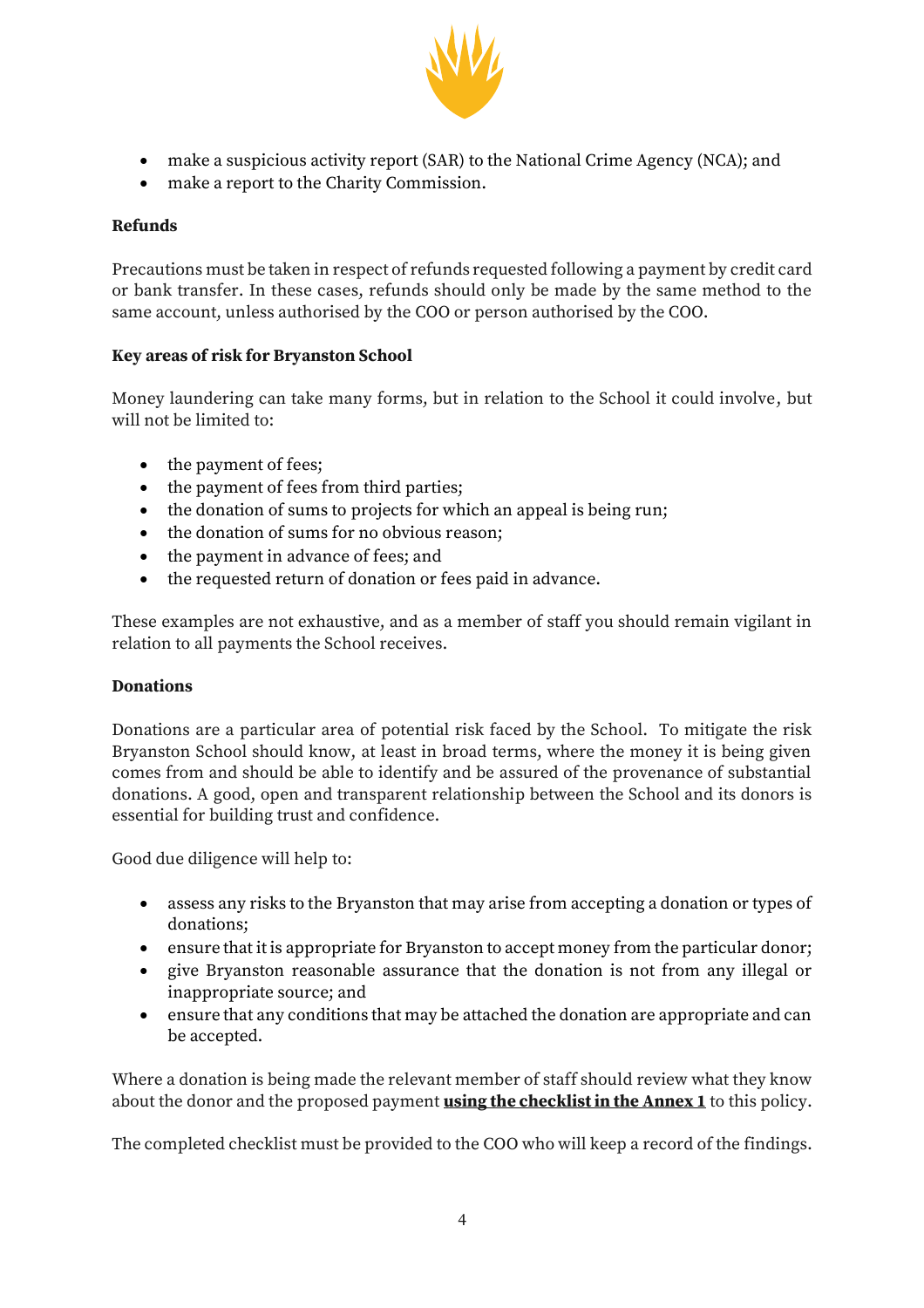

- make a suspicious activity report (SAR) to the National Crime Agency (NCA); and
- make a report to the Charity Commission.

# **Refunds**

Precautions must be taken in respect of refunds requested following a payment by credit card or bank transfer. In these cases, refunds should only be made by the same method to the same account, unless authorised by the COO or person authorised by the COO.

# **Key areas of risk for Bryanston School**

Money laundering can take many forms, but in relation to the School it could involve, but will not be limited to:

- the payment of fees;
- the payment of fees from third parties;
- the donation of sums to projects for which an appeal is being run;
- the donation of sums for no obvious reason;
- the payment in advance of fees; and
- the requested return of donation or fees paid in advance.

These examples are not exhaustive, and as a member of staff you should remain vigilant in relation to all payments the School receives.

# **Donations**

Donations are a particular area of potential risk faced by the School. To mitigate the risk Bryanston School should know, at least in broad terms, where the money it is being given comes from and should be able to identify and be assured of the provenance of substantial donations. A good, open and transparent relationship between the School and its donors is essential for building trust and confidence.

Good due diligence will help to:

- assess any risks to the Bryanston that may arise from accepting a donation or types of donations;
- ensure that it is appropriate for Bryanston to accept money from the particular donor;
- give Bryanston reasonable assurance that the donation is not from any illegal or inappropriate source; and
- ensure that any conditions that may be attached the donation are appropriate and can be accepted.

Where a donation is being made the relevant member of staff should review what they know about the donor and the proposed payment **using the checklist in the Annex 1** to this policy.

The completed checklist must be provided to the COO who will keep a record of the findings.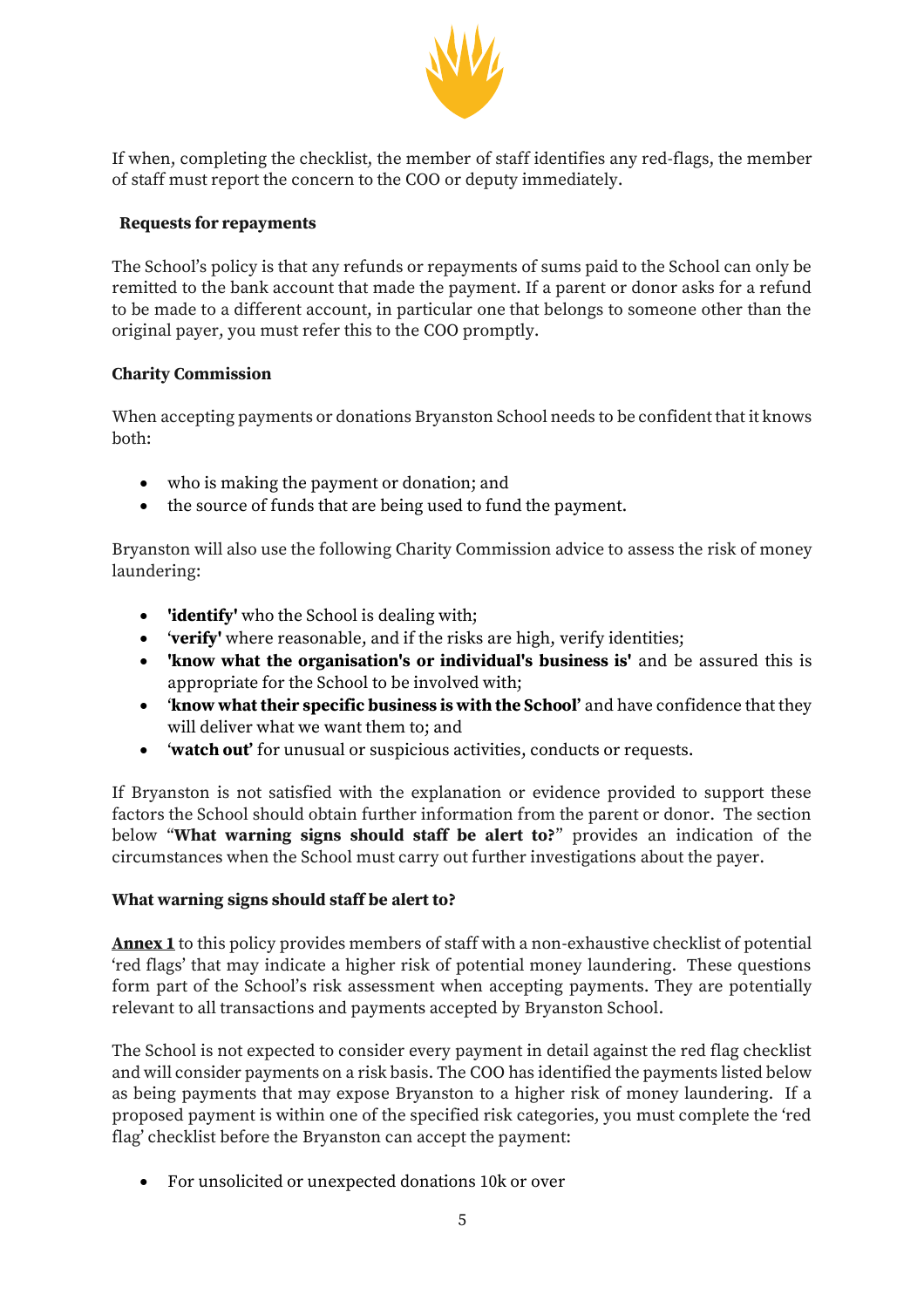

If when, completing the checklist, the member of staff identifies any red-flags, the member of staff must report the concern to the COO or deputy immediately.

#### **Requests for repayments**

The School's policy is that any refunds or repayments of sums paid to the School can only be remitted to the bank account that made the payment. If a parent or donor asks for a refund to be made to a different account, in particular one that belongs to someone other than the original payer, you must refer this to the COO promptly.

#### **Charity Commission**

When accepting payments or donations Bryanston School needs to be confident that it knows both:

- who is making the payment or donation; and
- the source of funds that are being used to fund the payment.

Bryanston will also use the following Charity Commission advice to assess the risk of money laundering:

- **'identify'** who the School is dealing with;
- 1 '**verify'** where reasonable, and if the risks are high, verify identities;
- **'know what the organisation's or individual's business is'** and be assured this is appropriate for the School to be involved with;
- '**know what their specific business is with the School'** and have confidence that they will deliver what we want them to; and
- '**watch out'** for unusual or suspicious activities, conducts or requests.

If Bryanston is not satisfied with the explanation or evidence provided to support these factors the School should obtain further information from the parent or donor. The section below "**What warning signs should staff be alert to?**" provides an indication of the circumstances when the School must carry out further investigations about the payer.

#### **What warning signs should staff be alert to?**

**Annex 1** to this policy provides members of staff with a non-exhaustive checklist of potential 'red flags' that may indicate a higher risk of potential money laundering. These questions form part of the School's risk assessment when accepting payments. They are potentially relevant to all transactions and payments accepted by Bryanston School.

The School is not expected to consider every payment in detail against the red flag checklist and will consider payments on a risk basis. The COO has identified the payments listed below as being payments that may expose Bryanston to a higher risk of money laundering. If a proposed payment is within one of the specified risk categories, you must complete the 'red flag' checklist before the Bryanston can accept the payment:

• For unsolicited or unexpected donations 10k or over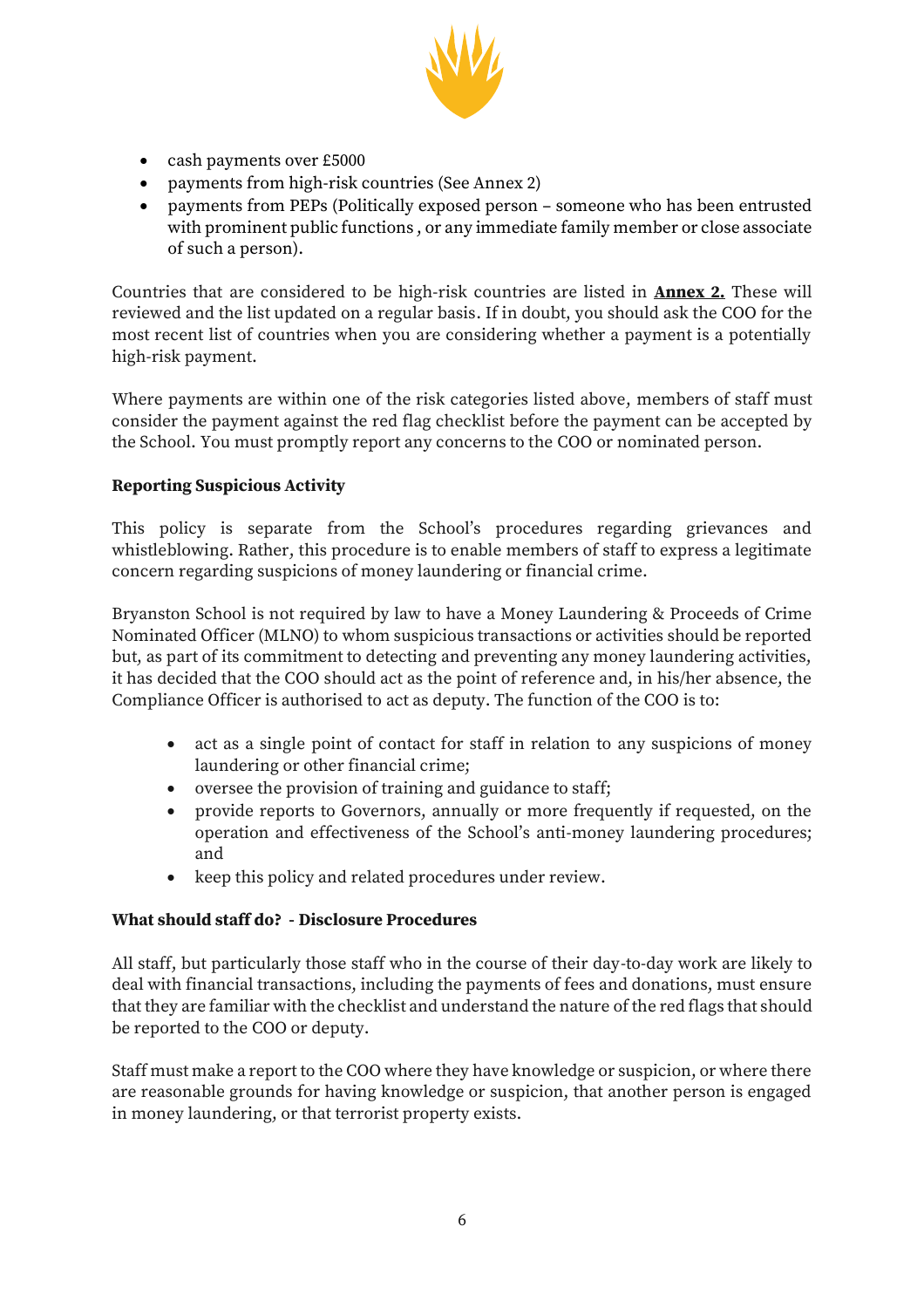

- cash payments over £5000
- payments from high-risk countries (See Annex 2)
- payments from PEPs (Politically exposed person someone who has been entrusted with prominent public functions , or any immediate family member or close associate of such a person).

Countries that are considered to be high-risk countries are listed in **Annex 2.** These will reviewed and the list updated on a regular basis. If in doubt, you should ask the COO for the most recent list of countries when you are considering whether a payment is a potentially high-risk payment.

Where payments are within one of the risk categories listed above, members of staff must consider the payment against the red flag checklist before the payment can be accepted by the School. You must promptly report any concerns to the COO or nominated person.

# **Reporting Suspicious Activity**

This policy is separate from the School's procedures regarding grievances and whistleblowing. Rather, this procedure is to enable members of staff to express a legitimate concern regarding suspicions of money laundering or financial crime.

Bryanston School is not required by law to have a Money Laundering & Proceeds of Crime Nominated Officer (MLNO) to whom suspicious transactions or activities should be reported but, as part of its commitment to detecting and preventing any money laundering activities, it has decided that the COO should act as the point of reference and, in his/her absence, the Compliance Officer is authorised to act as deputy. The function of the COO is to:

- act as a single point of contact for staff in relation to any suspicions of money laundering or other financial crime;
- oversee the provision of training and guidance to staff;
- provide reports to Governors, annually or more frequently if requested, on the operation and effectiveness of the School's anti-money laundering procedures; and
- keep this policy and related procedures under review.

# **What should staff do? - Disclosure Procedures**

All staff, but particularly those staff who in the course of their day-to-day work are likely to deal with financial transactions, including the payments of fees and donations, must ensure that they are familiar with the checklist and understand the nature of the red flags that should be reported to the COO or deputy.

Staff must make a report to the COO where they have knowledge or suspicion, or where there are reasonable grounds for having knowledge or suspicion, that another person is engaged in money laundering, or that terrorist property exists.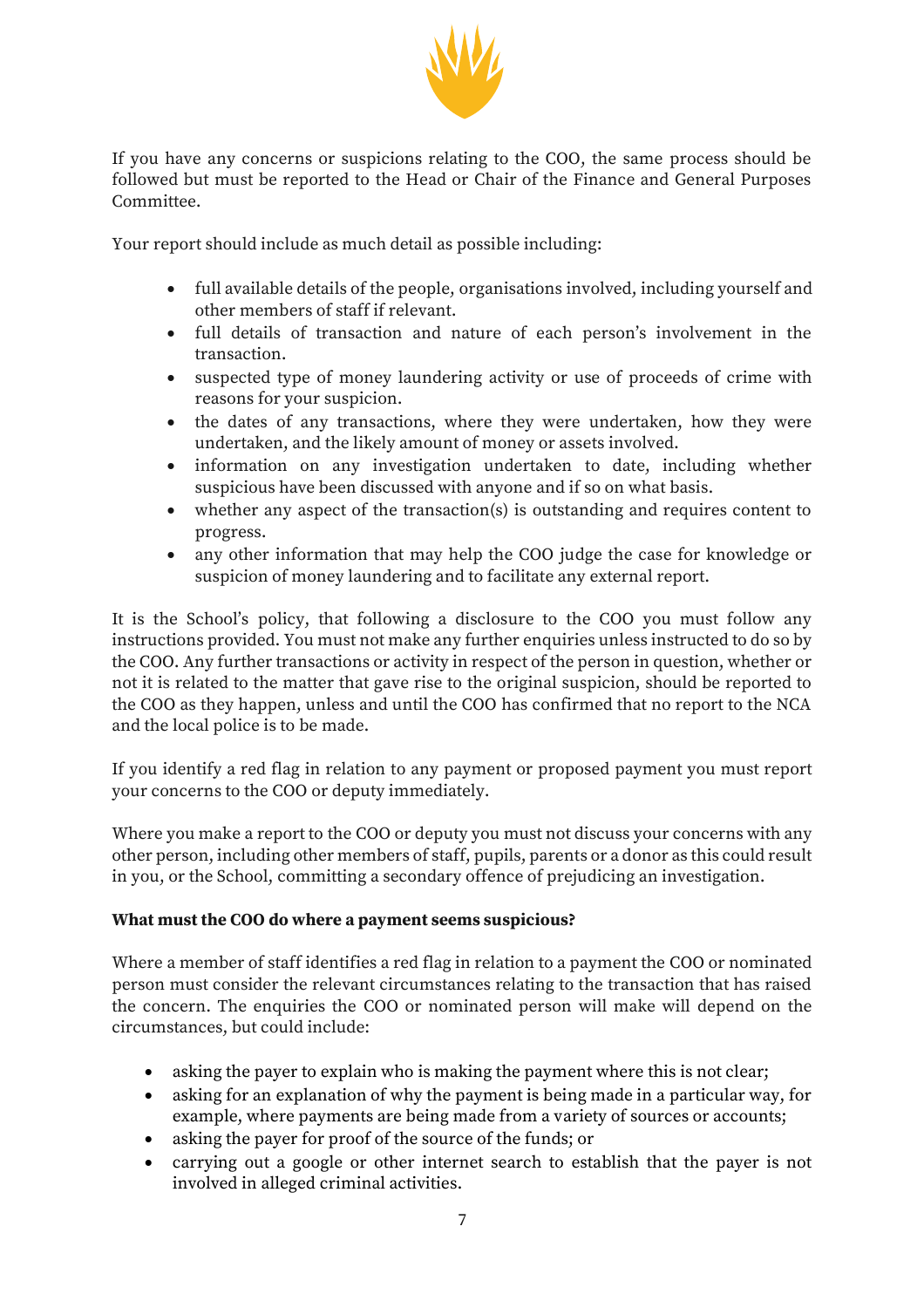

If you have any concerns or suspicions relating to the COO, the same process should be followed but must be reported to the Head or Chair of the Finance and General Purposes Committee.

Your report should include as much detail as possible including:

- full available details of the people, organisations involved, including yourself and other members of staff if relevant.
- full details of transaction and nature of each person's involvement in the transaction.
- suspected type of money laundering activity or use of proceeds of crime with reasons for your suspicion.
- the dates of any transactions, where they were undertaken, how they were undertaken, and the likely amount of money or assets involved.
- information on any investigation undertaken to date, including whether suspicious have been discussed with anyone and if so on what basis.
- whether any aspect of the transaction(s) is outstanding and requires content to progress.
- any other information that may help the COO judge the case for knowledge or suspicion of money laundering and to facilitate any external report.

It is the School's policy, that following a disclosure to the COO you must follow any instructions provided. You must not make any further enquiries unless instructed to do so by the COO. Any further transactions or activity in respect of the person in question, whether or not it is related to the matter that gave rise to the original suspicion, should be reported to the COO as they happen, unless and until the COO has confirmed that no report to the NCA and the local police is to be made.

If you identify a red flag in relation to any payment or proposed payment you must report your concerns to the COO or deputy immediately.

Where you make a report to the COO or deputy you must not discuss your concerns with any other person, including other members of staff, pupils, parents or a donor as this could result in you, or the School, committing a secondary offence of prejudicing an investigation.

# **What must the COO do where a payment seems suspicious?**

Where a member of staff identifies a red flag in relation to a payment the COO or nominated person must consider the relevant circumstances relating to the transaction that has raised the concern. The enquiries the COO or nominated person will make will depend on the circumstances, but could include:

- asking the payer to explain who is making the payment where this is not clear;
- asking for an explanation of why the payment is being made in a particular way, for example, where payments are being made from a variety of sources or accounts;
- asking the payer for proof of the source of the funds; or
- carrying out a google or other internet search to establish that the payer is not involved in alleged criminal activities.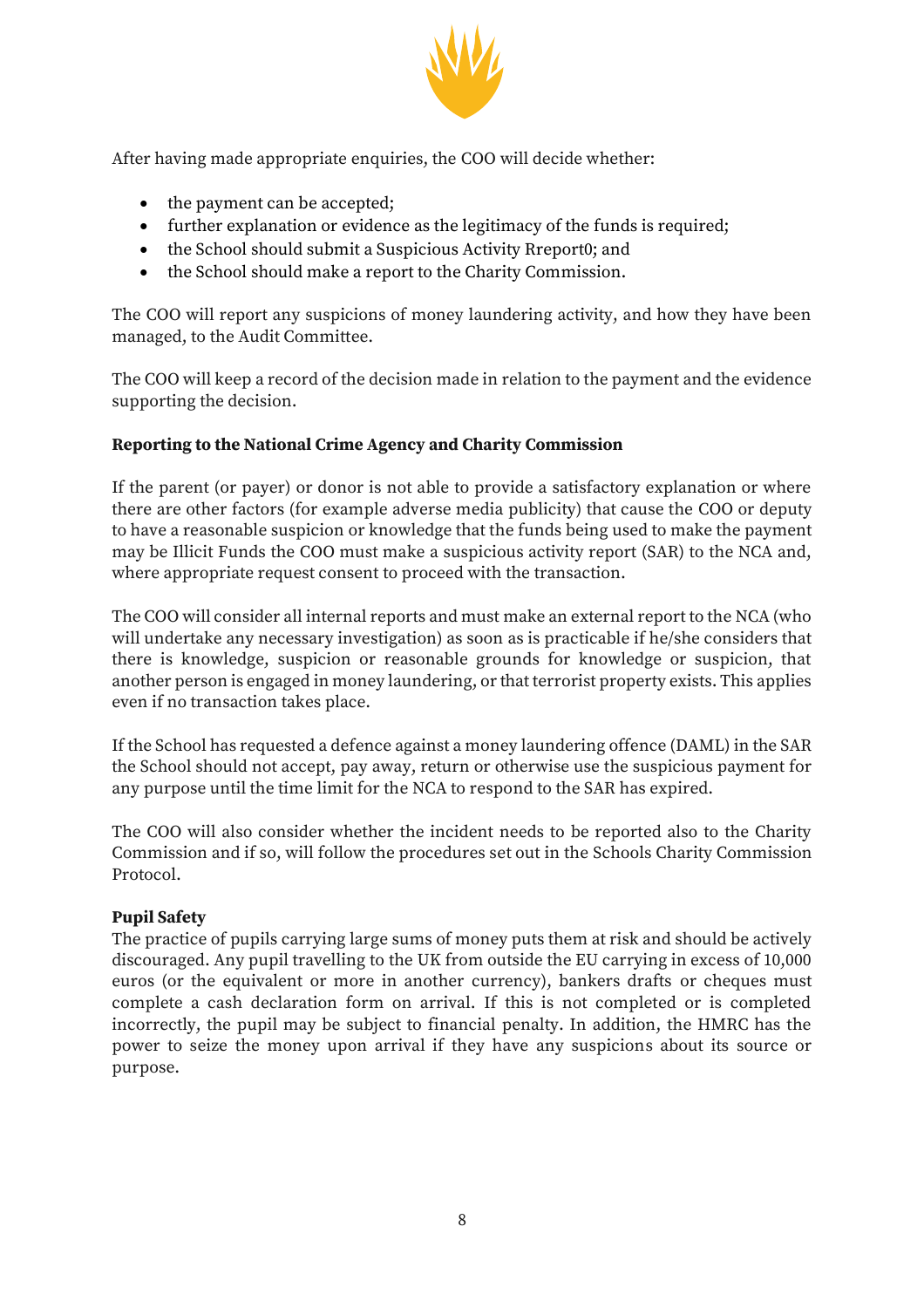

After having made appropriate enquiries, the COO will decide whether:

- the payment can be accepted;
- further explanation or evidence as the legitimacy of the funds is required;
- the School should submit a Suspicious Activity Rreport0; and
- the School should make a report to the Charity Commission.

The COO will report any suspicions of money laundering activity, and how they have been managed, to the Audit Committee.

The COO will keep a record of the decision made in relation to the payment and the evidence supporting the decision.

#### **Reporting to the National Crime Agency and Charity Commission**

If the parent (or payer) or donor is not able to provide a satisfactory explanation or where there are other factors (for example adverse media publicity) that cause the COO or deputy to have a reasonable suspicion or knowledge that the funds being used to make the payment may be Illicit Funds the COO must make a suspicious activity report (SAR) to the NCA and, where appropriate request consent to proceed with the transaction.

The COO will consider all internal reports and must make an external report to the NCA (who will undertake any necessary investigation) as soon as is practicable if he/she considers that there is knowledge, suspicion or reasonable grounds for knowledge or suspicion, that another person is engaged in money laundering, or that terrorist property exists. This applies even if no transaction takes place.

If the School has requested a defence against a money laundering offence (DAML) in the SAR the School should not accept, pay away, return or otherwise use the suspicious payment for any purpose until the time limit for the NCA to respond to the SAR has expired.

The COO will also consider whether the incident needs to be reported also to the Charity Commission and if so, will follow the procedures set out in the Schools Charity Commission Protocol.

#### **Pupil Safety**

The practice of pupils carrying large sums of money puts them at risk and should be actively discouraged. Any pupil travelling to the UK from outside the EU carrying in excess of 10,000 euros (or the equivalent or more in another currency), bankers drafts or cheques must complete a cash declaration form on arrival. If this is not completed or is completed incorrectly, the pupil may be subject to financial penalty. In addition, the HMRC has the power to seize the money upon arrival if they have any suspicions about its source or purpose.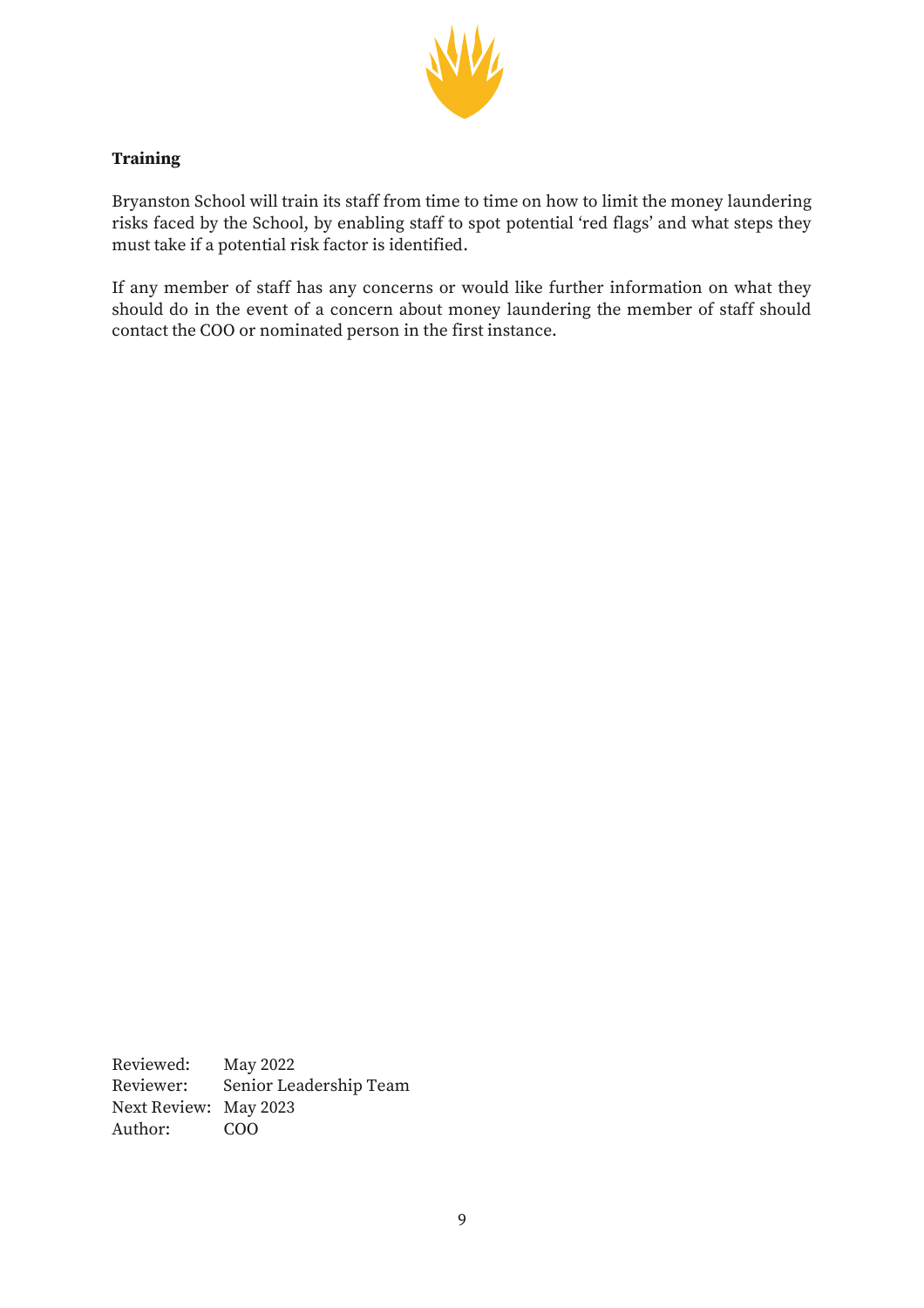

### **Training**

Bryanston School will train its staff from time to time on how to limit the money laundering risks faced by the School, by enabling staff to spot potential 'red flags' and what steps they must take if a potential risk factor is identified.

If any member of staff has any concerns or would like further information on what they should do in the event of a concern about money laundering the member of staff should contact the COO or nominated person in the first instance.

Reviewed: May 2022 Reviewer: Senior Leadership Team Next Review: May 2023 Author: COO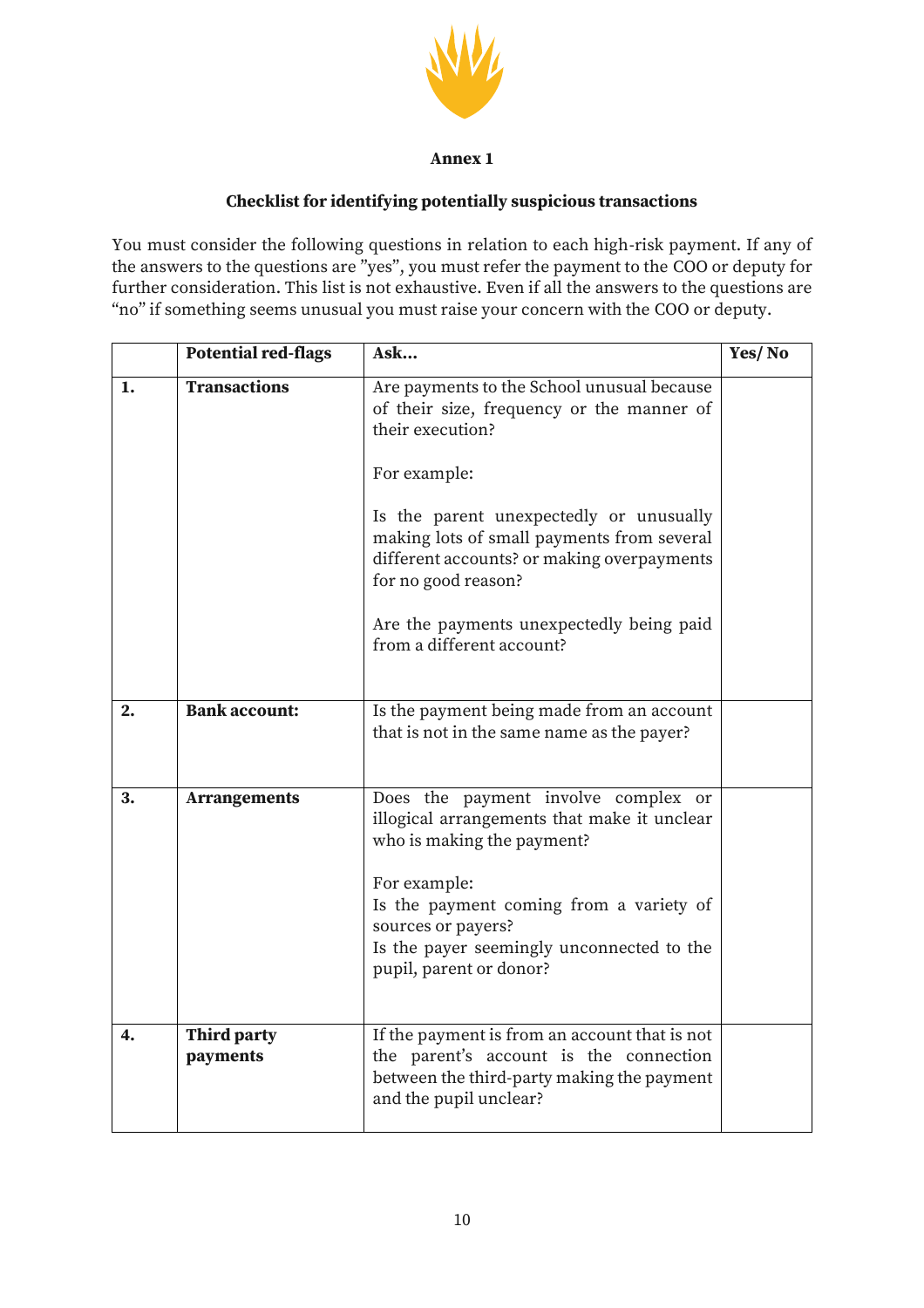

#### **Annex 1**

### **Checklist for identifying potentially suspicious transactions**

You must consider the following questions in relation to each high-risk payment. If any of the answers to the questions are "yes", you must refer the payment to the COO or deputy for further consideration. This list is not exhaustive. Even if all the answers to the questions are "no" if something seems unusual you must raise your concern with the COO or deputy.

|    | <b>Potential red-flags</b>     | Ask                                                                                                                                                                                                                                                                                                                                                                | Yes/No |
|----|--------------------------------|--------------------------------------------------------------------------------------------------------------------------------------------------------------------------------------------------------------------------------------------------------------------------------------------------------------------------------------------------------------------|--------|
| 1. | <b>Transactions</b>            | Are payments to the School unusual because<br>of their size, frequency or the manner of<br>their execution?<br>For example:<br>Is the parent unexpectedly or unusually<br>making lots of small payments from several<br>different accounts? or making overpayments<br>for no good reason?<br>Are the payments unexpectedly being paid<br>from a different account? |        |
| 2. | <b>Bank account:</b>           | Is the payment being made from an account<br>that is not in the same name as the payer?                                                                                                                                                                                                                                                                            |        |
| 3. | <b>Arrangements</b>            | Does the payment involve complex or<br>illogical arrangements that make it unclear<br>who is making the payment?<br>For example:<br>Is the payment coming from a variety of<br>sources or payers?<br>Is the payer seemingly unconnected to the<br>pupil, parent or donor?                                                                                          |        |
| 4. | <b>Third party</b><br>payments | If the payment is from an account that is not<br>the parent's account is the connection<br>between the third-party making the payment<br>and the pupil unclear?                                                                                                                                                                                                    |        |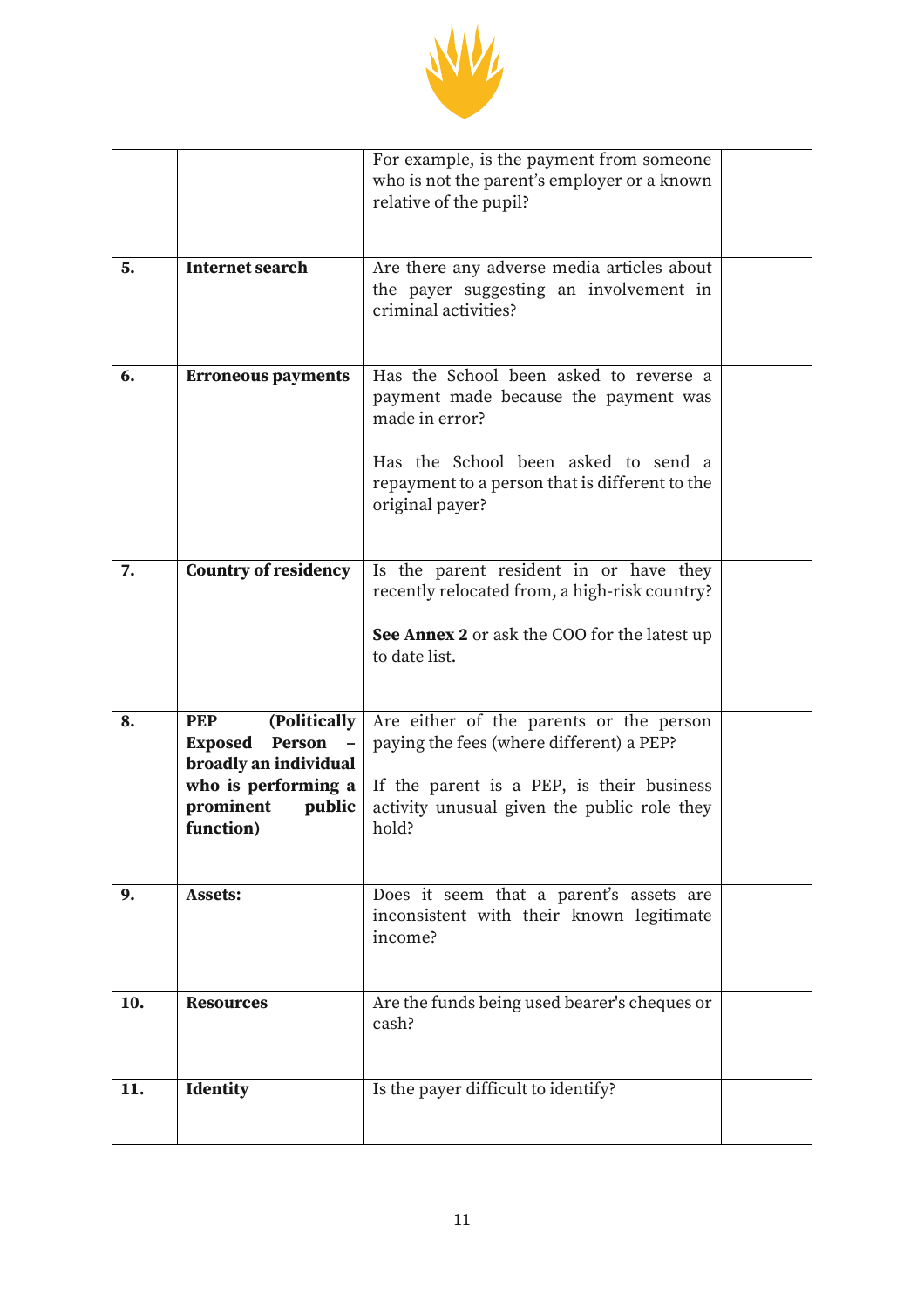

|     |                                                                                                                                            | For example, is the payment from someone<br>who is not the parent's employer or a known<br>relative of the pupil?                                                                         |  |
|-----|--------------------------------------------------------------------------------------------------------------------------------------------|-------------------------------------------------------------------------------------------------------------------------------------------------------------------------------------------|--|
|     |                                                                                                                                            |                                                                                                                                                                                           |  |
| 5.  | <b>Internet search</b>                                                                                                                     | Are there any adverse media articles about<br>the payer suggesting an involvement in<br>criminal activities?                                                                              |  |
| 6.  | <b>Erroneous payments</b>                                                                                                                  | Has the School been asked to reverse a<br>payment made because the payment was<br>made in error?<br>Has the School been asked to send a<br>repayment to a person that is different to the |  |
|     |                                                                                                                                            | original payer?                                                                                                                                                                           |  |
| 7.  | <b>Country of residency</b>                                                                                                                | Is the parent resident in or have they<br>recently relocated from, a high-risk country?                                                                                                   |  |
|     |                                                                                                                                            | See Annex 2 or ask the COO for the latest up<br>to date list.                                                                                                                             |  |
| 8.  | (Politically<br><b>PEP</b><br>Person<br><b>Exposed</b><br>broadly an individual<br>who is performing a<br>prominent<br>public<br>function) | Are either of the parents or the person<br>paying the fees (where different) a PEP?<br>If the parent is a PEP, is their business<br>activity unusual given the public role they<br>hold?  |  |
| 9.  | <b>Assets:</b>                                                                                                                             | Does it seem that a parent's assets are<br>inconsistent with their known legitimate<br>income?                                                                                            |  |
| 10. | <b>Resources</b>                                                                                                                           | Are the funds being used bearer's cheques or<br>cash?                                                                                                                                     |  |
| 11. | <b>Identity</b>                                                                                                                            | Is the payer difficult to identify?                                                                                                                                                       |  |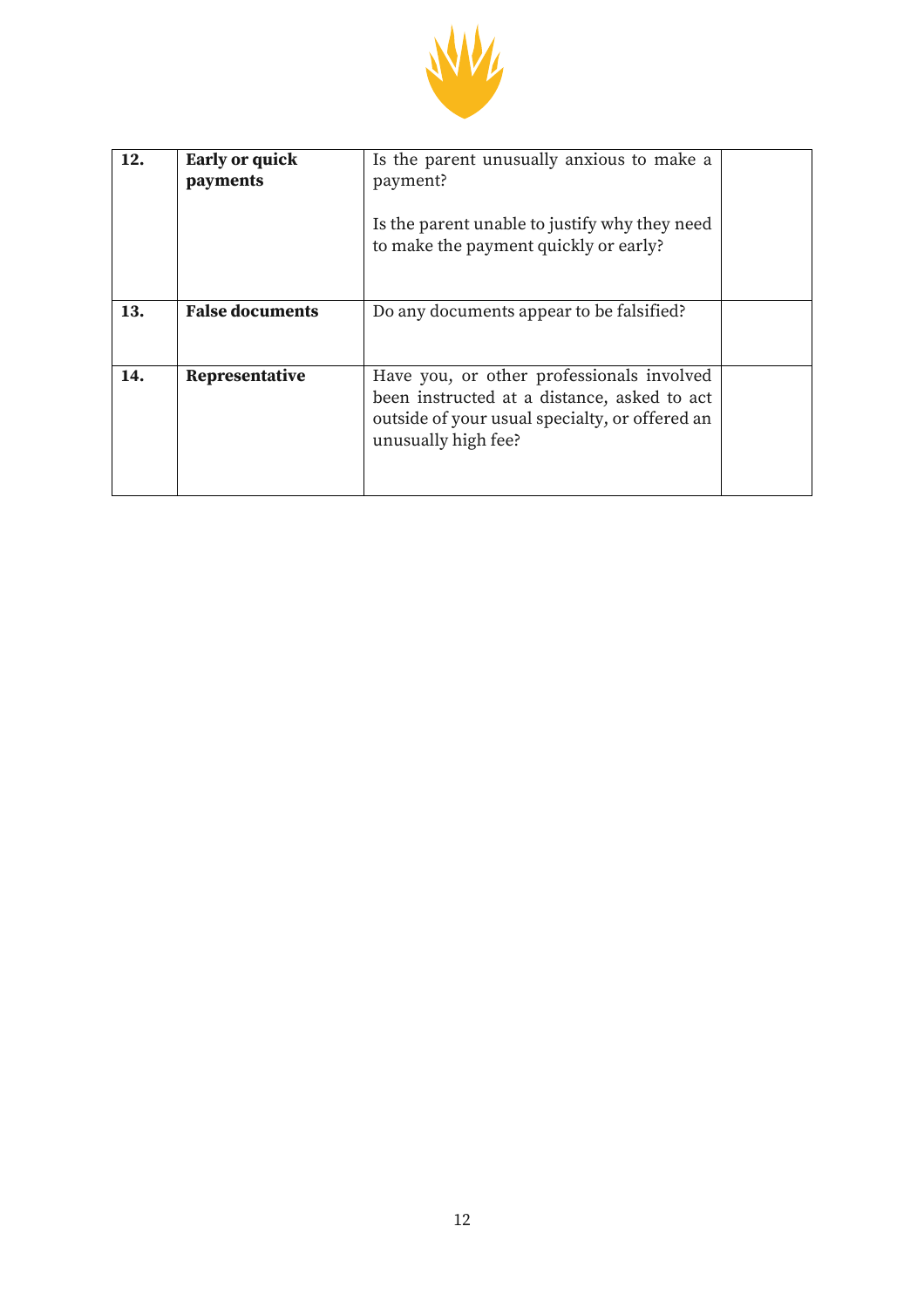

| 12. | <b>Early or quick</b><br>payments | Is the parent unusually anxious to make a<br>payment?<br>Is the parent unable to justify why they need<br>to make the payment quickly or early?                   |  |
|-----|-----------------------------------|-------------------------------------------------------------------------------------------------------------------------------------------------------------------|--|
| 13. | <b>False documents</b>            | Do any documents appear to be falsified?                                                                                                                          |  |
| 14. | Representative                    | Have you, or other professionals involved<br>been instructed at a distance, asked to act<br>outside of your usual specialty, or offered an<br>unusually high fee? |  |